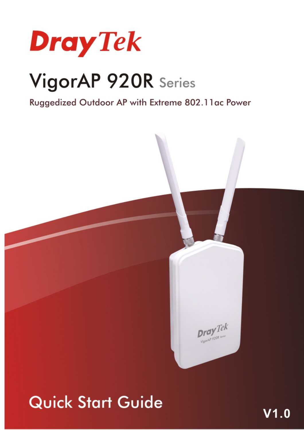

# VigorAP 920R Series

Ruggedized Outdoor AP with Extreme 802.11ac Power



## **Quick Start Guide**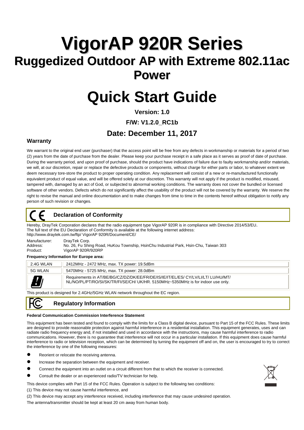## **VigorAP 920R Series Ruggedized Outdoor AP with Extreme 802.11ac Power**

## **Quick Start Guide**

**Version: 1.0** 

**F/W: V1.2.0\_RC1b** 

### **Date: December 11, 2017**

#### **Warranty**

We warrant to the original end user (purchaser) that the access point will be free from any defects in workmanship or materials for a period of two (2) years from the date of purchase from the dealer. Please keep your purchase receipt in a safe place as it serves as proof of date of purchase. During the warranty period, and upon proof of purchase, should the product have indications of failure due to faulty workmanship and/or materials, we will, at our discretion, repair or replace the defective products or components, without charge for either parts or labor, to whatever extent we deem necessary tore-store the product to proper operating condition. Any replacement will consist of a new or re-manufactured functionally equivalent product of equal value, and will be offered solely at our discretion. This warranty will not apply if the product is modified, misused, tampered with, damaged by an act of God, or subjected to abnormal working conditions. The warranty does not cover the bundled or licensed software of other vendors. Defects which do not significantly affect the usability of the product will not be covered by the warranty. We reserve the right to revise the manual and online documentation and to make changes from time to time in the contents hereof without obligation to notify any person of such revision or changes.

#### **Declaration of Conformity**

Hereby, DrayTek Corporation declares that the radio equipment type VigorAP 920R is in compliance with Directive 2014/53/EU.<br>The full text of the EU Declaration of Conformity is available at the following internet address: http://www.draytek.com.tw/ftp/ VigorAP 920R/Document/CE/

Manufacturer: DrayTek Corp.<br>Address: No. 26 Fu Shire Address: No. 26, Fu Shing Road, HuKou Township, HsinChu Industrial Park, Hsin-Chu, Taiwan 303 Product: VigorAP 920R/920RP

#### **Frequency Information for Europe area:**

| 2.4G WLAN | 2412MHz - 2472 MHz, max. TX power: 19.5dBm                                                                                                                            |
|-----------|-----------------------------------------------------------------------------------------------------------------------------------------------------------------------|
| 5G WLAN   | 5470MHz - 5725 MHz, max. TX power: 28.0dBm                                                                                                                            |
|           | Requirements in AT/BE/BG/CZ/DZ/DK/EE/FR/DE/IS/IE/IT/EL/ES/ CY/LV/LI/LT/ LU/HU/MT/<br>NL/NO/PL/PT/RO/SI/SK/TR/FI/SE/CH/ UK/HR. 5150MHz~5350MHz is for indoor use only. |

This product is designed for 2.4GHz/5GHz WLAN network throughout the EC region.

#### **Regulatory Information**

#### **Federal Communication Commission Interference Statement**

This equipment has been tested and found to comply with the limits for a Class B digital device, pursuant to Part 15 of the FCC Rules. These limits are designed to provide reasonable protection against harmful interference in a residential installation. This equipment generates, uses and can radiate radio frequency energy and, if not installed and used in accordance with the instructions, may cause harmful interference to radio communications. However, there is no guarantee that interference will not occur in a particular installation. If this equipment does cause harmful interference to radio or television reception, which can be determined by turning the equipment off and on, the user is encouraged to try to correct the interference by one of the following measures:

- Reorient or relocate the receiving antenna.
- Increase the separation between the equipment and receiver.
- Connect the equipment into an outlet on a circuit different from that to which the receiver is connected.
- Consult the dealer or an experienced radio/TV technician for help.
- This device complies with Part 15 of the FCC Rules. Operation is subject to the following two conditions:
- (1) This device may not cause harmful interference, and
- (2) This device may accept any interference received, including interference that may cause undesired operation.

The antenna/transmitter should be kept at least 20 cm away from human body.

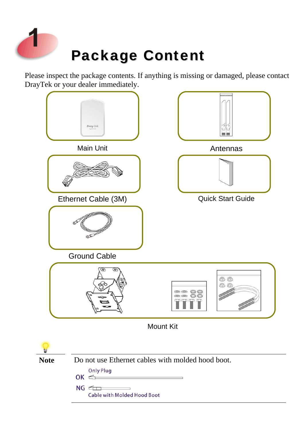

Please inspect the package contents. If anything is missing or damaged, please contact DrayTek or your dealer immediately.

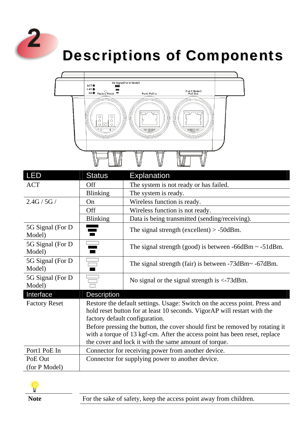

## Descriptions of Components



| <b>LED</b>                  | <b>Status</b>                                                                                                                                                                                                                                                                                                                                                                                                   | <b>Explanation</b>                                              |  |  |
|-----------------------------|-----------------------------------------------------------------------------------------------------------------------------------------------------------------------------------------------------------------------------------------------------------------------------------------------------------------------------------------------------------------------------------------------------------------|-----------------------------------------------------------------|--|--|
| <b>ACT</b>                  | Off                                                                                                                                                                                                                                                                                                                                                                                                             | The system is not ready or has failed.                          |  |  |
|                             | <b>Blinking</b>                                                                                                                                                                                                                                                                                                                                                                                                 | The system is ready.                                            |  |  |
| 2.4G / 5G /                 | <b>On</b>                                                                                                                                                                                                                                                                                                                                                                                                       | Wireless function is ready.                                     |  |  |
|                             | <b>Off</b>                                                                                                                                                                                                                                                                                                                                                                                                      | Wireless function is not ready.                                 |  |  |
|                             | <b>Blinking</b>                                                                                                                                                                                                                                                                                                                                                                                                 | Data is being transmitted (sending/receiving).                  |  |  |
| 5G Signal (For D)<br>Model) |                                                                                                                                                                                                                                                                                                                                                                                                                 | The signal strength (excellent) $> -50$ dBm.                    |  |  |
| 5G Signal (For D)<br>Model) |                                                                                                                                                                                                                                                                                                                                                                                                                 | The signal strength (good) is between $-66$ dBm $\sim -51$ dBm. |  |  |
| 5G Signal (For D)<br>Model) |                                                                                                                                                                                                                                                                                                                                                                                                                 | The signal strength (fair) is between $-73dBm - 67dBm$ .        |  |  |
| 5G Signal (For D)<br>Model) |                                                                                                                                                                                                                                                                                                                                                                                                                 | No signal or the signal strength is $\langle$ -73dBm.           |  |  |
| Interface                   | <b>Description</b>                                                                                                                                                                                                                                                                                                                                                                                              |                                                                 |  |  |
| <b>Factory Reset</b>        | Restore the default settings. Usage: Switch on the access point. Press and<br>hold reset button for at least 10 seconds. VigorAP will restart with the<br>factory default configuration.<br>Before pressing the button, the cover should first be removed by rotating it<br>with a torque of 13 kgf-cm. After the access point has been reset, replace<br>the cover and lock it with the same amount of torque. |                                                                 |  |  |
| Port1 PoE In                |                                                                                                                                                                                                                                                                                                                                                                                                                 | Connector for receiving power from another device.              |  |  |
| PoE Out                     |                                                                                                                                                                                                                                                                                                                                                                                                                 | Connector for supplying power to another device.                |  |  |
| (for P Model)               |                                                                                                                                                                                                                                                                                                                                                                                                                 |                                                                 |  |  |

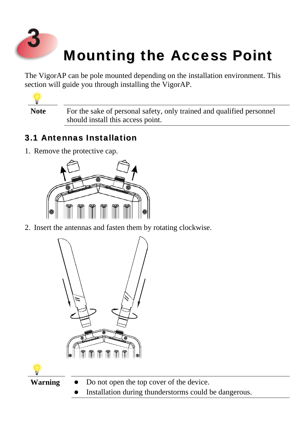

## Mounting the Access Point

The VigorAP can be pole mounted depending on the installation environment. This section will guide you through installing the VigorAP.



Note For the sake of personal safety, only trained and qualified personnel should install this access point.

### 3.1 Antennas Installation

1. Remove the protective cap.



2. Insert the antennas and fasten them by rotating clockwise.



- Warning Do not open the top cover of the device.
	- Installation during thunderstorms could be dangerous.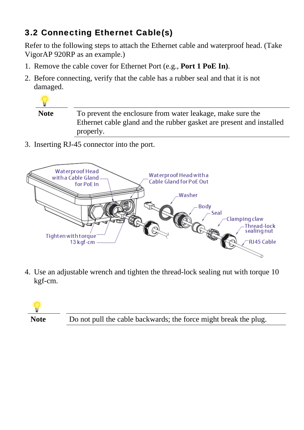## 3.2 Connecting Ethernet Cable(s)

Refer to the following steps to attach the Ethernet cable and waterproof head. (Take VigorAP 920RP as an example.)

- 1. Remove the cable cover for Ethernet Port (e.g., **Port 1 PoE In)**.
- 2. Before connecting, verify that the cable has a rubber seal and that it is not damaged.



3. Inserting RJ-45 connector into the port.



4. Use an adjustable wrench and tighten the thread-lock sealing nut with torque 10 kgf-cm.

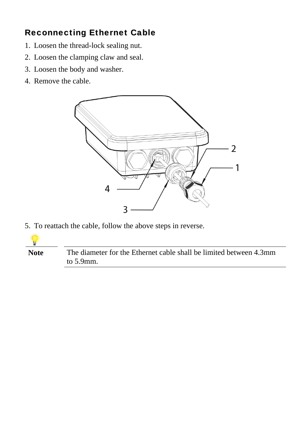### Reconnecting Ethernet Cable

- 1. Loosen the thread-lock sealing nut.
- 2. Loosen the clamping claw and seal.
- 3. Loosen the body and washer.
- 4. Remove the cable.



5. To reattach the cable, follow the above steps in reverse.



**Note** The diameter for the Ethernet cable shall be limited between 4.3mm to 5.9mm.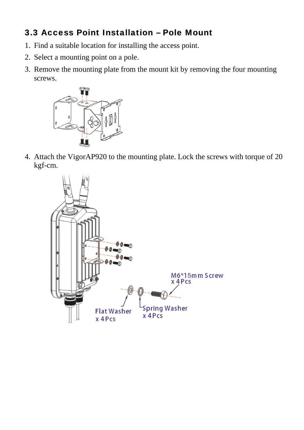### 3.3 Access Point Installation – Pole Mount

- 1. Find a suitable location for installing the access point.
- 2. Select a mounting point on a pole.
- 3. Remove the mounting plate from the mount kit by removing the four mounting screws.



4. Attach the VigorAP920 to the mounting plate. Lock the screws with torque of 20 kgf-cm.

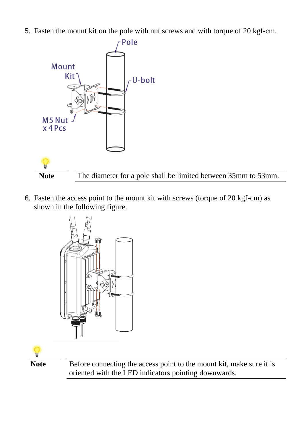5. Fasten the mount kit on the pole with nut screws and with torque of 20 kgf-cm.



6. Fasten the access point to the mount kit with screws (torque of 20 kgf-cm) as shown in the following figure.



Note Before connecting the access point to the mount kit, make sure it is oriented with the LED indicators pointing downwards.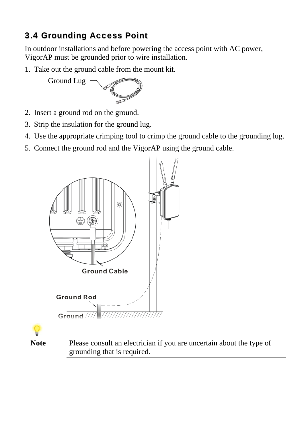## 3.4 Grounding Access Point

In outdoor installations and before powering the access point with AC power, VigorAP must be grounded prior to wire installation.

1. Take out the ground cable from the mount kit.

Ground Lug

- 2. Insert a ground rod on the ground.
- 3. Strip the insulation for the ground lug.
- 4. Use the appropriate crimping tool to crimp the ground cable to the grounding lug.
- 5. Connect the ground rod and the VigorAP using the ground cable.



**Note** Please consult an electrician if you are uncertain about the type of grounding that is required.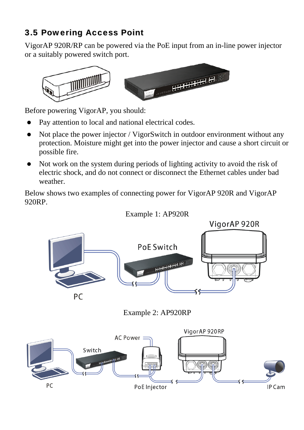### 3.5 Powering Access Point

VigorAP 920R/RP can be powered via the PoE input from an in-line power injector or a suitably powered switch port.



Before powering VigorAP, you should:

- Pay attention to local and national electrical codes.
- Not place the power injector / VigorSwitch in outdoor environment without any protection. Moisture might get into the power injector and cause a short circuit or possible fire.
- Not work on the system during periods of lighting activity to avoid the risk of electric shock, and do not connect or disconnect the Ethernet cables under bad weather.

Below shows two examples of connecting power for VigorAP 920R and VigorAP 920RP.



### Example 1: AP920R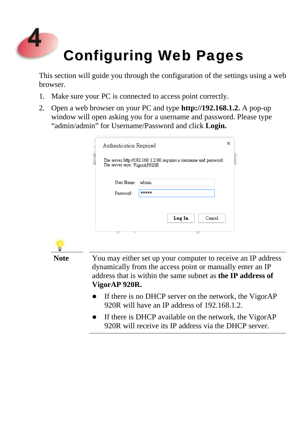

This section will guide you through the configuration of the settings using a web browser.

- 1. Make sure your PC is connected to access point correctly.
- 2. Open a web browser on your PC and type **http://192.168.1.2.** A pop-up window will open asking you for a username and password. Please type "admin/admin" for Username/Password and click **Login.**

| Authentication Required      |                                                                   | × |
|------------------------------|-------------------------------------------------------------------|---|
| The server says: VigorAP920R | The server http://192.168.1.2:80 requires a usemame and password. |   |
| User Name:                   | admin                                                             |   |
| Password:                    | *****                                                             |   |



- If there is no DHCP server on the network, the VigorAP 920R will have an IP address of 192.168.1.2.
- If there is DHCP available on the network, the VigorAP 920R will receive its IP address via the DHCP server.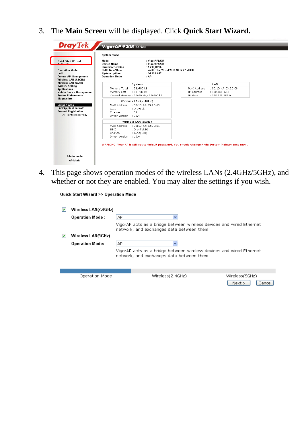3. The **Main Screen** will be displayed. Click **Quick Start Wizard.**

| <b>Quick Start Wizard</b><br><b>Calina Ctatus</b>                              | Model<br>Device Name<br><b>Firmware Version</b><br><b>Build Date/Time</b> | : VigorAP920R<br>: VigorAP920R<br>: 1.2.0 RC1b               |             |                     |  |
|--------------------------------------------------------------------------------|---------------------------------------------------------------------------|--------------------------------------------------------------|-------------|---------------------|--|
| <b>Operation Mode</b><br><b>Central AP Management</b><br>Wireless LAN (2.4GHz) | <b>System Uptime</b><br><b>Operation Mode</b>                             | r7410 Thu, 20 Jul 2017 18:12:27 +0800<br>: 0d00:05:42<br>:AP |             |                     |  |
| Wireless LAN (5GHz)                                                            |                                                                           | System                                                       |             | <b>LAN</b>          |  |
| <b>RADIUS Setting</b><br><b>Applications</b>                                   | Memory Total                                                              | : 236780 kB                                                  | MAC Address | : 00:1D:AA:63:2C:68 |  |
| <b>Mobile Device Management</b>                                                | Memory Left                                                               | : 134432 kB                                                  | IP Address  | : 192.168.1.13      |  |
| <b>System Maintenance</b>                                                      | Cached Memory: 20428 kB / 236780 kB                                       |                                                              | IP Mask     | : 255.255.255.0     |  |
| <b>Diagnostics</b>                                                             |                                                                           | Wireless LAN (2.4GHz)                                        |             |                     |  |
| <b>Support Area</b>                                                            | MAC Address                                                               | : 00:1D:AA:63:2C:68                                          |             |                     |  |
| <b>FAQ/Application Note</b>                                                    | SSID                                                                      | : DrayTek                                                    |             |                     |  |
| <b>Product Registration</b>                                                    | Channel<br>1.11                                                           |                                                              |             |                     |  |
| All Rights Reserved.                                                           | : 10.4<br>Driver Version                                                  |                                                              |             |                     |  |
|                                                                                |                                                                           | Wireless LAN (5GHz)                                          |             |                     |  |
|                                                                                | MAC Address                                                               | : 00:10:AA:63:2C:6A                                          |             |                     |  |
|                                                                                | SSID                                                                      | : DrayTek5G                                                  |             |                     |  |
|                                                                                | Channel                                                                   | : Auto(100)                                                  |             |                     |  |
|                                                                                | : 10.4<br>Driver Version                                                  |                                                              |             |                     |  |

4. This page shows operation modes of the wireless LANs (2.4GHz/5GHz), and whether or not they are enabled. You may alter the settings if you wish.

Quick Start Wizard >> Operation Mode

| M | Wireless LAN(2.4GHz)<br><b>Operation Mode:</b> | AP.<br>v                                  |                                                                      |  |
|---|------------------------------------------------|-------------------------------------------|----------------------------------------------------------------------|--|
|   |                                                | network, and exchanges data between them. | VigorAP acts as a bridge between wireless devices and wired Ethernet |  |
|   | Wireless LAN(5GHz)                             |                                           |                                                                      |  |
|   | <b>Operation Mode:</b>                         | АP<br>v                                   |                                                                      |  |
|   |                                                | network, and exchanges data between them. | VigorAP acts as a bridge between wireless devices and wired Ethernet |  |
|   |                                                |                                           |                                                                      |  |
|   | Operation Mode                                 | Wireless(2.4GHz)                          | Wireless (5GHz)                                                      |  |

 $Next >$ 

 $\boxed{\text{Cancellation}}$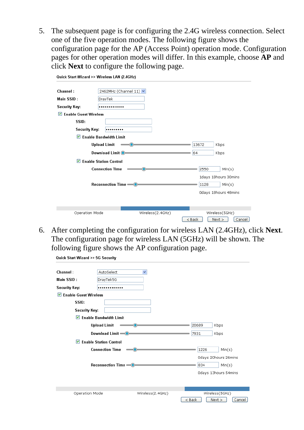5. The subsequent page is for configuring the 2.4G wireless connection. Select one of the five operation modes. The following figure shows the configuration page for the AP (Access Point) operation mode. Configuration pages for other operation modes will differ. In this example, choose **AP** and click **Next** to configure the following page.

| Quick Start Wizard >> Wireless LAN (2.4GHz) |                               |                  |          |                      |
|---------------------------------------------|-------------------------------|------------------|----------|----------------------|
| Channel:                                    | 2462MHz (Channel 11) V        |                  |          |                      |
| Main SSID:                                  | <b>DrayTek</b>                |                  |          |                      |
| Security Key:                               | .                             |                  |          |                      |
| $\triangledown$ Enable Guest Wireless       |                               |                  |          |                      |
| SSID:                                       |                               |                  |          |                      |
| Security Key:                               |                               |                  |          |                      |
| $\blacktriangleright$                       | <b>Enable Bandwidth Limit</b> |                  |          |                      |
|                                             | <b>Upload Limit</b>           |                  | 13672    | Kbps                 |
|                                             | Download Limit <sup>O</sup>   |                  | 64       | Kbps                 |
| ▿                                           | <b>Enable Station Control</b> |                  |          |                      |
|                                             | <b>Connection Time</b>        |                  | 2550     | Min(s)               |
|                                             |                               |                  |          | 1days 18hours 30mins |
|                                             | Reconnection Time             |                  | 1128     | Min(s)               |
|                                             |                               |                  |          | Odays 18hours 48mins |
|                                             |                               |                  |          |                      |
|                                             |                               |                  |          |                      |
| Operation Mode                              |                               | Wireless(2.4GHz) |          | Wireless(5GHz)       |
|                                             |                               |                  | $8$ Back | Cancel<br>Next       |

6. After completing the configuration for wireless LAN (2.4GHz), click **Next**. The configuration page for wireless LAN (5GHz) will be shown. The following figure shows the AP configuration page.

| Quick Start Wizard >> 5G Security      |                                                 |                  |                          |  |
|----------------------------------------|-------------------------------------------------|------------------|--------------------------|--|
| Channel:                               | AutoSelect                                      | ٧                |                          |  |
| Main SSID:                             | DrayTek5G                                       |                  |                          |  |
| <b>Security Key:</b>                   |                                                 |                  |                          |  |
| $\triangleright$ Enable Guest Wireless |                                                 |                  |                          |  |
| SSID:                                  |                                                 |                  |                          |  |
| Security Key:                          |                                                 |                  |                          |  |
|                                        | $\triangleright$ Enable Bandwidth Limit         |                  |                          |  |
|                                        | <b>Upload Limit</b>                             |                  | Kbps<br>20689            |  |
|                                        | Download Limit - O                              |                  | 7931<br>Kbps             |  |
|                                        | $\triangledown$ Enable Station Control          |                  |                          |  |
|                                        | <b>Connection Time</b>                          |                  | 1226<br>Min(s)           |  |
|                                        |                                                 |                  | Odays 20hours 26mins     |  |
|                                        | Reconnection Time <sup>0</sup><br>834<br>Min(s) |                  |                          |  |
|                                        |                                                 |                  | Odays 13hours 54mins     |  |
|                                        |                                                 |                  |                          |  |
|                                        |                                                 |                  |                          |  |
| Operation Mode                         |                                                 | Wireless(2.4GHz) | Wireless(5GHz)           |  |
|                                        |                                                 |                  | Next<br>Cancel<br>< Back |  |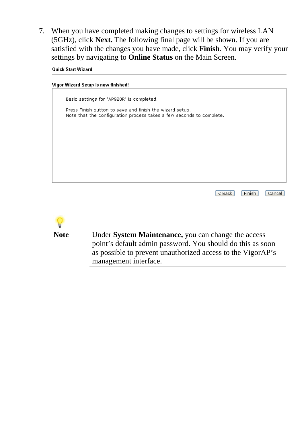7. When you have completed making changes to settings for wireless LAN (5GHz), click **Next.** The following final page will be shown. If you are satisfied with the changes you have made, click **Finish**. You may verify your settings by navigating to **Online Status** on the Main Screen.

**Quick Start Wizard**